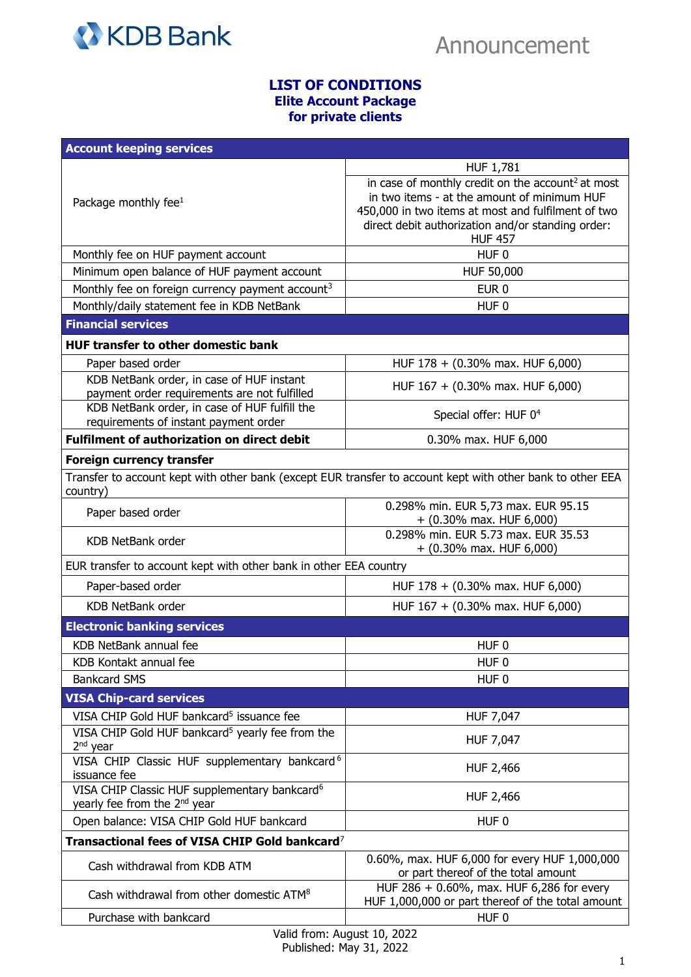

## **LIST OF CONDITIONS Elite Account Package for private clients**

| <b>Account keeping services</b>                                                                                        |                                                                                                                                                                                                                                           |  |
|------------------------------------------------------------------------------------------------------------------------|-------------------------------------------------------------------------------------------------------------------------------------------------------------------------------------------------------------------------------------------|--|
|                                                                                                                        | HUF 1,781                                                                                                                                                                                                                                 |  |
| Package monthly fee $1$                                                                                                | in case of monthly credit on the account <sup>2</sup> at most<br>in two items - at the amount of minimum HUF<br>450,000 in two items at most and fulfilment of two<br>direct debit authorization and/or standing order:<br><b>HUF 457</b> |  |
| Monthly fee on HUF payment account                                                                                     | HUF <sub>0</sub>                                                                                                                                                                                                                          |  |
| Minimum open balance of HUF payment account                                                                            | HUF 50,000                                                                                                                                                                                                                                |  |
| Monthly fee on foreign currency payment account <sup>3</sup>                                                           | EUR <sub>0</sub>                                                                                                                                                                                                                          |  |
| Monthly/daily statement fee in KDB NetBank                                                                             | HUF <sub>0</sub>                                                                                                                                                                                                                          |  |
| <b>Financial services</b>                                                                                              |                                                                                                                                                                                                                                           |  |
| <b>HUF transfer to other domestic bank</b>                                                                             |                                                                                                                                                                                                                                           |  |
| Paper based order                                                                                                      | HUF 178 + (0.30% max. HUF 6,000)                                                                                                                                                                                                          |  |
| KDB NetBank order, in case of HUF instant<br>payment order requirements are not fulfilled                              | HUF 167 + (0.30% max. HUF 6,000)                                                                                                                                                                                                          |  |
| KDB NetBank order, in case of HUF fulfill the<br>requirements of instant payment order                                 | Special offer: HUF 0 <sup>4</sup>                                                                                                                                                                                                         |  |
| <b>Fulfilment of authorization on direct debit</b>                                                                     | 0.30% max. HUF 6,000                                                                                                                                                                                                                      |  |
| Foreign currency transfer                                                                                              |                                                                                                                                                                                                                                           |  |
| Transfer to account kept with other bank (except EUR transfer to account kept with other bank to other EEA<br>country) |                                                                                                                                                                                                                                           |  |
| Paper based order                                                                                                      | 0.298% min. EUR 5,73 max. EUR 95.15<br>$+$ (0.30% max. HUF 6,000)                                                                                                                                                                         |  |
| <b>KDB NetBank order</b>                                                                                               | 0.298% min. EUR 5.73 max. EUR 35.53<br>$+$ (0.30% max. HUF 6,000)                                                                                                                                                                         |  |
| EUR transfer to account kept with other bank in other EEA country                                                      |                                                                                                                                                                                                                                           |  |
| Paper-based order                                                                                                      | HUF 178 + (0.30% max. HUF 6,000)                                                                                                                                                                                                          |  |
| <b>KDB NetBank order</b>                                                                                               | HUF 167 + (0.30% max. HUF 6,000)                                                                                                                                                                                                          |  |
| <b>Electronic banking services</b>                                                                                     |                                                                                                                                                                                                                                           |  |
| KDB NetBank annual fee                                                                                                 | HUF <sub>0</sub>                                                                                                                                                                                                                          |  |
| KDB Kontakt annual fee                                                                                                 | HUF <sub>0</sub>                                                                                                                                                                                                                          |  |
| <b>Bankcard SMS</b>                                                                                                    | HUF <sub>0</sub>                                                                                                                                                                                                                          |  |
| <b>VISA Chip-card services</b>                                                                                         |                                                                                                                                                                                                                                           |  |
| VISA CHIP Gold HUF bankcard <sup>5</sup> issuance fee                                                                  | HUF 7,047                                                                                                                                                                                                                                 |  |
| VISA CHIP Gold HUF bankcard <sup>5</sup> yearly fee from the<br>$2nd$ year                                             | HUF 7,047                                                                                                                                                                                                                                 |  |
| VISA CHIP Classic HUF supplementary bankcard <sup>6</sup><br>issuance fee                                              | HUF 2,466                                                                                                                                                                                                                                 |  |
| VISA CHIP Classic HUF supplementary bankcard <sup>6</sup><br>yearly fee from the 2 <sup>nd</sup> year                  | HUF 2,466                                                                                                                                                                                                                                 |  |
| Open balance: VISA CHIP Gold HUF bankcard                                                                              | HUF <sub>0</sub>                                                                                                                                                                                                                          |  |
| Transactional fees of VISA CHIP Gold bankcard <sup>7</sup>                                                             |                                                                                                                                                                                                                                           |  |
| Cash withdrawal from KDB ATM                                                                                           | 0.60%, max. HUF 6,000 for every HUF 1,000,000<br>or part thereof of the total amount                                                                                                                                                      |  |
| Cash withdrawal from other domestic ATM <sup>8</sup>                                                                   | HUF 286 + 0.60%, max. HUF 6,286 for every<br>HUF 1,000,000 or part thereof of the total amount                                                                                                                                            |  |
| Purchase with bankcard                                                                                                 | HUF <sub>0</sub>                                                                                                                                                                                                                          |  |